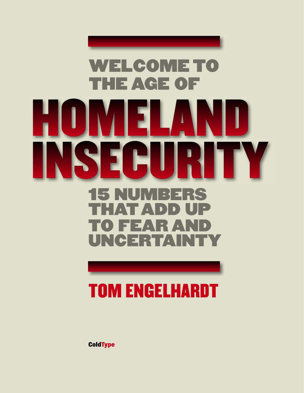### **WELCOME TO THE AGE OF** I l  $\blacktriangle$ EC I J RS. | 3X Ξ D) **P**  $\Delta$ ▔▔▲  $\blacksquare$  $\bullet$ E Е  $\blacktriangle$ ▎░▎▓▅▏▅▏▅░▆▕▅▘▞▕▏

## TOM ENGELHARDT

**ColdType**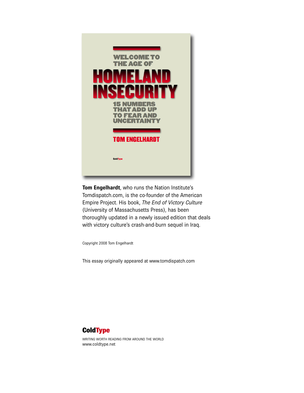

**Tom Engelhardt**, who runs the Nation Institute's Tomdispatch.com, is the co-founder of the American Empire Project. His book, *The End of Victory Culture* (University of Massachusetts Press), has been thoroughly updated in a newly issued edition that deals with victory culture's crash-and-burn sequel in Iraq.

Copyright 2008 Tom Engelhardt

This essay originally appeared at [www.tomdispatch.com](http://www.tomdispatch.com)



WRITING WORTH READING FROM AROUND THE WORLD [www.coldtype.net](http://www.coldtype.net)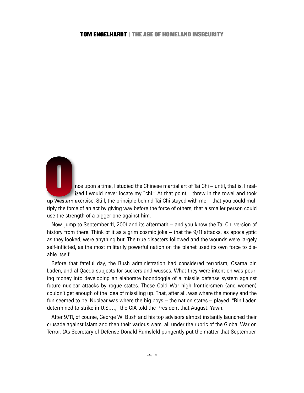nce upon a time, I studied the Chinese martial art of Tai Chi – until, that is, I realized I would never locate my "chi." At that point, I threw in the towel and took up Western exercise. Still, the principle behind Tai Chi stayed with me – that you could multiply the force of an act by giving way before the force of others; that a smaller person could use the strength of a bigger one against him.

Now, jump to September 11, 2001 and its aftermath – and you know the Tai Chi version of history from there. Think of it as a grim cosmic joke – that the 9/11 attacks, as apocalyptic as they looked, were anything but. The true disasters followed and the wounds were largely self-inflicted, as the most militarily powerful nation on the planet used its own force to disable itself.

Before that fateful day, the Bush administration had considered terrorism, Osama bin Laden, and al-Qaeda subjects for suckers and wusses. What they were intent on was pouring money into developing an elaborate boondoggle of a missile defense system against future nuclear attacks by rogue states. Those Cold War high frontiersmen (and women) couldn't get enough of the idea of missiling up. That, after all, was where the money and the fun seemed to be. Nuclear was where the big boys – the nation states – played. "Bin Laden determined to strike in U.S.…," the CIA told the President that August. Yawn.

After 9/11, of course, George W. Bush and his top advisors almost instantly launched their crusade against Islam and then their various wars, all under the rubric of the Global War on Terror. (As Secretary of Defense Donald Rumsfeld pungently put the matter that September,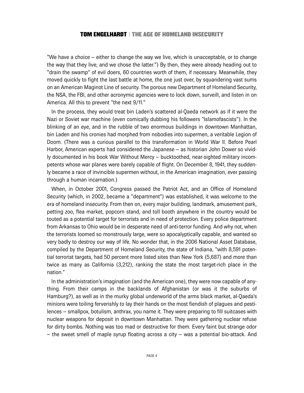"We have a choice – either to change the way we live, which is unacceptable, or to change the way that they live; and we chose the latter.") By then, they were already heading out to "drain the swamp" of evil doers, 60 countries worth of them, if necessary. Meanwhile, they moved quickly to fight the last battle at home, the one just over, by squandering vast sums on an American Maginot Line of security. The porous new Department of Homeland Security, the NSA, the FBI, and other acronymic agencies were to lock down, surveill, and listen in on America. All this to prevent "the next 9/11."

In the process, they would treat bin Laden's scattered al-Qaeda network as if it were the Nazi or Soviet war machine (even comically dubbing his followers "Islamofascists"). In the blinking of an eye, and in the rubble of two enormous buildings in downtown Manhattan, bin Laden and his cronies had morphed from nobodies into supermen, a veritable Legion of Doom. (There was a curious parallel to this transformation in World War II. Before Pearl Harbor, American experts had considered the Japanese – as historian John Dower so vividly documented in his book War Without Mercy – bucktoothed, near-sighted military incompetents whose war planes were barely capable of flight. On December 8, 1941, they suddenly became a race of invincible supermen without, in the American imagination, ever passing through a human incarnation.)

When, in October 2001, Congress passed the Patriot Act, and an Office of Homeland Security (which, in 2002, became a "department") was established, it was welcome to the era of homeland insecurity. From then on, every major building, landmark, amusement park, petting zoo, flea market, popcorn stand, and toll booth anywhere in the country would be touted as a potential target for terrorists and in need of protection. Every police department from Arkansas to Ohio would be in desperate need of anti-terror funding. And why not, when the terrorists loomed so monstrously large, were so apocalyptically capable, and wanted so very badly to destroy our way of life. No wonder that, in the 2006 National Asset Database, compiled by the Department of Homeland Security, the state of Indiana, "with 8,591 potential terrorist targets, had 50 percent more listed sites than New York (5,687) and more than twice as many as California (3,212), ranking the state the most target-rich place in the nation."

In the administration's imagination (and the American one), they were now capable of anything. From their camps in the backlands of Afghanistan (or was it the suburbs of Hamburg?), as well as in the murky global underworld of the arms black market, al-Qaeda's minions were toiling ferverishly to lay their hands on the most fiendish of plagues and pestilences – smallpox, botulism, anthrax, you name it. They were preparing to fill suitcases with nuclear weapons for deposit in downtown Manhattan. They were gathering nuclear refuse for dirty bombs. Nothing was too mad or destructive for them. Every faint but strange odor – the sweet smell of maple syrup floating across a city – was a potential bio-attack. And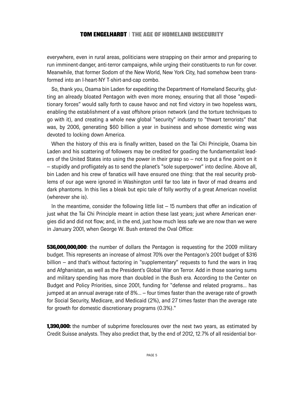everywhere, even in rural areas, politicians were strapping on their armor and preparing to run imminent-danger, anti-terror campaigns, while urging their constituents to run for cover. Meanwhile, that former Sodom of the New World, New York City, had somehow been transformed into an I-heart-NY T-shirt-and-cap combo.

So, thank you, Osama bin Laden for expediting the Department of Homeland Security, glutting an already bloated Pentagon with even more money, ensuring that all those "expeditionary forces" would sally forth to cause havoc and not find victory in two hopeless wars, enabling the establishment of a vast offshore prison network (and the torture techniques to go with it), and creating a whole new global "security" industry to "thwart terrorists" that was, by 2006, generating \$60 billion a year in business and whose domestic wing was devoted to locking down America.

When the history of this era is finally written, based on the Tai Chi Principle, Osama bin Laden and his scattering of followers may be credited for goading the fundamentalist leaders of the United States into using the power in their grasp so – not to put a fine point on it – stupidly and profligately as to send the planet's "sole superpower" into decline. Above all, bin Laden and his crew of fanatics will have ensured one thing: that the real security problems of our age were ignored in Washington until far too late in favor of mad dreams and dark phantoms. In this lies a bleak but epic tale of folly worthy of a great American novelist (wherever she is).

In the meantime, consider the following little list – 15 numbers that offer an indication of just what the Tai Chi Principle meant in action these last years; just where American energies did and did not flow; and, in the end, just how much less safe we are now than we were in January 2001, when George W. Bush entered the Oval Office:

**536,000,000,000**: the number of dollars the Pentagon is requesting for the 2009 military budget. This represents an increase of almost 70% over the Pentagon's 2001 budget of \$316 billion – and that's without factoring in "supplementary" requests to fund the wars in Iraq and Afghanistan, as well as the President's Global War on Terror. Add in those soaring sums and military spending has more than doubled in the Bush era. According to the Center on Budget and Policy Priorities, since 2001, funding for "defense and related programs... has jumped at an annual average rate of 8%... – four times faster than the average rate of growth for Social Security, Medicare, and Medicaid (2%), and 27 times faster than the average rate for growth for domestic discretionary programs (0.3%)."

**1,390,000:** the number of subprime foreclosures over the next two years, as estimated by Credit Suisse analysts. They also predict that, by the end of 2012, 12.7% of all residential bor-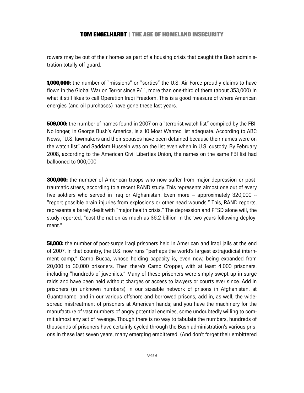rowers may be out of their homes as part of a housing crisis that caught the Bush administration totally off-guard.

**1,000,000:** the number of "missions" or "sorties" the U.S. Air Force proudly claims to have flown in the Global War on Terror since 9/11, more than one-third of them (about 353,000) in what it still likes to call Operation Iraqi Freedom. This is a good measure of where American energies (and oil purchases) have gone these last years.

**509,000:** the number of names found in 2007 on a "terrorist watch list" compiled by the FBI. No longer, in George Bush's America, is a 10 Most Wanted list adequate. According to ABC News, "U.S. lawmakers and their spouses have been detained because their names were on the watch list" and Saddam Hussein was on the list even when in U.S. custody. By February 2008, according to the American Civil Liberties Union, the names on the same FBI list had ballooned to 900,000.

**300,000:** the number of American troops who now suffer from major depression or posttraumatic stress, according to a recent RAND study. This represents almost one out of every five soldiers who served in Iraq or Afghanistan. Even more – approximately 320,000 -- "report possible brain injuries from explosions or other head wounds." This, RAND reports, represents a barely dealt with "major health crisis." The depression and PTSD alone will, the study reported, "cost the nation as much as \$6.2 billion in the two years following deployment."

**51,000:** the number of post-surge Iraqi prisoners held in American and Iraqi jails at the end of 2007. In that country, the U.S. now runs "perhaps the world's largest extrajudicial internment camp," Camp Bucca, whose holding capacity is, even now, being expanded from 20,000 to 30,000 prisoners. Then there's Camp Cropper, with at least 4,000 prisoners, including "hundreds of juveniles." Many of these prisoners were simply swept up in surge raids and have been held without charges or access to lawyers or courts ever since. Add in prisoners (in unknown numbers) in our sizeable network of prisons in Afghanistan, at Guantanamo, and in our various offshore and borrowed prisons; add in, as well, the widespread mistreatment of prisoners at American hands; and you have the machinery for the manufacture of vast numbers of angry potential enemies, some undoubtedly willing to commit almost any act of revenge. Though there is no way to tabulate the numbers, hundreds of thousands of prisoners have certainly cycled through the Bush administration's various prisons in these last seven years, many emerging embittered. (And don't forget their embittered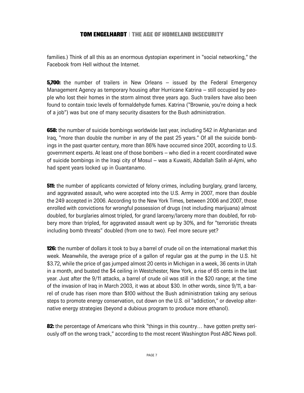families.) Think of all this as an enormous dystopian experiment in "social networking," the Facebook from Hell without the Internet.

**5.700:** the number of trailers in New Orleans – issued by the Federal Emergency Management Agency as temporary housing after Hurricane Katrina – still occupied by people who lost their homes in the storm almost three years ago. Such trailers have also been found to contain toxic levels of formaldehyde fumes. Katrina ("Brownie, you're doing a heck of a job") was but one of many security disasters for the Bush administration.

**658:** the number of suicide bombings worldwide last year, including 542 in Afghanistan and Iraq, "more than double the number in any of the past 25 years." Of all the suicide bombings in the past quarter century, more than 86% have occurred since 2001, according to U.S. government experts. At least one of those bombers – who died in a recent coordinated wave of suicide bombings in the Iraqi city of Mosul – was a Kuwaiti, Abdallah Salih al-Ajmi, who had spent years locked up in Guantanamo.

**511:** the number of applicants convicted of felony crimes, including burglary, grand larceny, and aggravated assault, who were accepted into the U.S. Army in 2007, more than double the 249 accepted in 2006. According to the New York Times, between 2006 and 2007, those enrolled with convictions for wrongful possession of drugs (not including marijuana) almost doubled, for burglaries almost tripled, for grand larceny/larceny more than doubled, for robbery more than tripled, for aggravated assault went up by 30%, and for "terroristic threats including bomb threats" doubled (from one to two). Feel more secure yet?

**126:** the number of dollars it took to buy a barrel of crude oil on the international market this week. Meanwhile, the average price of a gallon of regular gas at the pump in the U.S. hit \$3.72, while the price of gas jumped almost 20 cents in Michigan in a week, 36 cents in Utah in a month, and busted the \$4 ceiling in Westchester, New York, a rise of 65 cents in the last year. Just after the 9/11 attacks, a barrel of crude oil was still in the \$20 range; at the time of the invasion of Iraq in March 2003, it was at about \$30. In other words, since 9/11, a barrel of crude has risen more than \$100 without the Bush administration taking any serious steps to promote energy conservation, cut down on the U.S. oil "addiction," or develop alternative energy strategies (beyond a dubious program to produce more ethanol).

82: the percentage of Americans who think "things in this country... have gotten pretty seriously off on the wrong track," according to the most recent Washington Post-ABC News poll.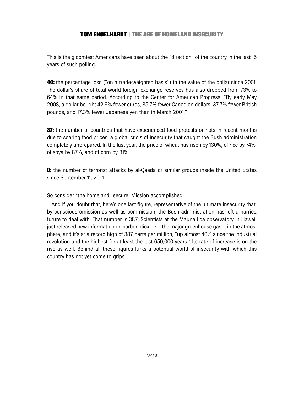This is the gloomiest Americans have been about the "direction" of the country in the last 15 years of such polling.

**40:** the percentage loss ("on a trade-weighted basis") in the value of the dollar since 2001. The dollar's share of total world foreign exchange reserves has also dropped from 73% to 64% in that same period. According to the Center for American Progress, "By early May 2008, a dollar bought 42.9% fewer euros, 35.7% fewer Canadian dollars, 37.7% fewer British pounds, and 17.3% fewer Japanese yen than in March 2001."

**37:** the number of countries that have experienced food protests or riots in recent months due to soaring food prices, a global crisis of insecurity that caught the Bush administration completely unprepared. In the last year, the price of wheat has risen by 130%, of rice by 74%, of soya by 87%, and of corn by 31%.

**0:** the number of terrorist attacks by al-Qaeda or similar groups inside the United States since September 11, 2001.

#### So consider "the homeland" secure. Mission accomplished.

And if you doubt that, here's one last figure, representative of the ultimate insecurity that, by conscious omission as well as commission, the Bush administration has left a harried future to deal with: That number is 387: Scientists at the Mauna Loa observatory in Hawaii just released new information on carbon dioxide – the major greenhouse gas – in the atmosphere, and it's at a record high of 387 parts per million, "up almost 40% since the industrial revolution and the highest for at least the last 650,000 years." Its rate of increase is on the rise as well. Behind all these figures lurks a potential world of insecurity with which this country has not yet come to grips.